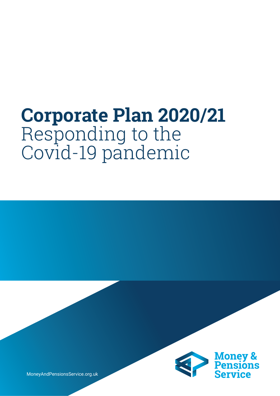# **Corporate Plan 2020/21**  Responding to the Covid-19 pandemic



MoneyAndPensionsService.org.uk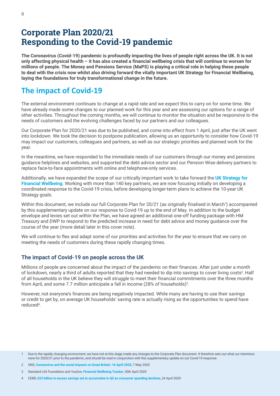# **Corporate Plan 2020/21 Responding to the Covid-19 pandemic**

**The Coronavirus (Covid-19) pandemic is profoundly impacting the lives of people right across the UK. It is not only affecting physical health – it has also created a financial wellbeing crisis that will continue to worsen for millions of people. The Money and Pensions Service (MaPS) is playing a critical role in helping these people to deal with the crisis now whilst also driving forward the vitally important UK Strategy for Financial Wellbeing, laying the foundations for truly transformational change in the future.**

# **The impact of Covid-19**

The external environment continues to change at a rapid rate and we expect this to carry on for some time. We have already made some changes to our planned work for this year and are assessing our options for a range of other activities. Throughout the coming months, we will continue to monitor the situation and be responsive to the needs of customers and the evolving challenges faced by our partners and our colleagues.

Our Corporate Plan for 2020/21 was due to be published, and come into effect from 1 April, just after the UK went into lockdown. We took the decision to postpone publication, allowing us an opportunity to consider how Covid-19 may impact our customers, colleagues and partners, as well as our strategic priorities and planned work for the year.

In the meantime, we have responded to the immediate needs of our customers through our money and pensions guidance helplines and websites, and supported the debt advice sector and our Pension Wise delivery partners to replace face-to-face appointments with online and telephone-only services.

Additionally, we have expanded the scope of our critically important work to take forward the **UK Strategy for Financial Wellbeing**. Working with more than 140 key partners, we are now focusing initially on developing a coordinated response to the Covid-19 crisis, before developing longer-term plans to achieve the 10-year UK Strategy goals.

Within this document, we include our full Corporate Plan for 20/21 (as originally finalised in March<sup>1</sup>) accompanied by this supplementary update on our response to Covid-19 up to the end of May. In addition to the budget envelope and levies set out within the Plan, we have agreed an additional one-off funding package with HM Treasury and DWP to respond to the predicted increase in need for debt advice and money guidance over the course of the year (more detail later in this cover note).

We will continue to flex and adapt some of our priorities and activities for the year to ensure that we carry on meeting the needs of customers during these rapidly changing times.

#### **The impact of Covid-19 on people across the UK**

Millions of people are concerned about the impact of the pandemic on their finances. After just under a month of lockdown, nearly a third of adults reported that they had needed to dip into savings to cover living costs<sup>2</sup>. Half of all households in the UK believe they will struggle to meet their financial commitments over the three months from April, and some 7.7 million anticipate a fall in income (28% of households)<sup>3</sup>.

However, not everyone's finances are being negatively impacted. While many are having to use their savings or credit to get by, on average UK households' saving rate is actually rising as the opportunities to spend have reduced<sup>4</sup>.

<sup>1</sup> Due to the rapidly changing environment, we have not at this stage made any changes to the Corporate Plan document. It therefore sets out what our intentions were for 2020/21 prior to the pandemic, and should be read in conjunction with this supplementary update on our Covid-19 response.

<sup>2</sup> ONS, **Coronavirus and the social impacts on Great Britain: 16 April 2020**, 7 May 2020

<sup>3</sup> Standard Life Foundation and YouGov, **Financial Wellbeing Tracker**, 30th April 2020

<sup>4</sup> CEBR, **£23 billion in excess savings set to accumulate in Q2 as consumer spending declines**, 24 April 2020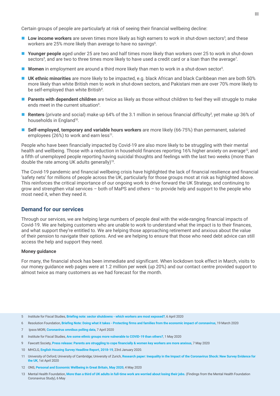Certain groups of people are particularly at risk of seeing their financial wellbeing decline:

- Low income workers are seven times more likely as high earners to work in shut-down sectors<sup>5</sup>, and these workers are 25% more likely than average to have no savings6.
- Younger people aged under 25 are two and half times more likely than workers over 25 to work in shut-down sectors<sup>5</sup>, and are two to three times more likely to have used a credit card or a loan than the average<sup>7</sup>.
- **Women** in employment are around a third more likely than men to work in a shut-down sector<sup>5</sup>.
- **UK ethnic minorities** are more likely to be impacted, e.g. black African and black Caribbean men are both 50% more likely than white British men to work in shut-down sectors, and Pakistani men are over 70% more likely to be self-employed than white British<sup>8</sup>.
- **Parents with dependent children** are twice as likely as those without children to feel they will struggle to make ends meet in the current situation<sup>9</sup>.
- **Renters** (private and social) make up 64% of the 3.1 million in serious financial difficulty<sup>3</sup>, yet make up 36% of households in England<sup>10</sup>.
- **Self-employed, temporary and variable hours workers** are more likely (66-75%) than permanent, salaried employees (26%) to work and earn less<sup>11</sup>.

People who have been financially impacted by Covid-19 are also more likely to be struggling with their mental health and wellbeing. Those with a reduction in household finances reporting 16% higher anxiety on average<sup>12</sup>, and a fifth of unemployed people reporting having suicidal thoughts and feelings with the last two weeks (more than double the rate among UK adults generally)13.

The Covid-19 pandemic and financial wellbeing crisis have highlighted the lack of financial resilience and financial 'safety nets' for millions of people across the UK, particularly for those groups most at risk as highlighted above. This reinforces the critical importance of our ongoing work to drive forward the UK Strategy, and continuing to grow and strengthen vital services – both of MaPS and others – to provide help and support to the people who most need it, when they need it.

#### **Demand for our services**

Through our services, we are helping large numbers of people deal with the wide-ranging financial impacts of Covid-19. We are helping customers who are unable to work to understand what the impact is to their finances, and what support they're entitled to. We are helping those approaching retirement and anxious about the value of their pension to navigate their options. And we are helping to ensure that those who need debt advice can still access the help and support they need.

#### **Money guidance**

For many, the financial shock has been immediate and significant. When lockdown took effect in March, visits to our money guidance web pages were at 1.2 million per week (up 20%) and our contact centre provided support to almost twice as many customers as we had forecast for the month.

- 5 Institute for Fiscal Studies, **Briefing note: sector shutdowns which workers are most exposed?**, 6 April 2020
- 6 Resolution Foundation, **Briefing Note: Doing what it takes Protecting firms and families from the economic impact of coronavirus**, 19 March 2020
- 7 Ipsos MORI, **Coronavirus omnibus polling data**, 7 April 2020
- 8 Institute for Fiscal Studies, **Are some ethnic groups more vulnerable to COVID-19 than others?**, 1 May 2020
- 9 Fawcett Society, **Press release: Parents are struggling to cope financially & women key workers are more anxious**, 7 May 2020
- 10 MHCLG, **English Housing Survey Headline Report, 2018-19**, 23rd January 2020.
- 11 University of Oxford; University of Cambridge; University of Zurich, **Research paper: Inequality in the Impact of the Coronavirus Shock: New Survey Evidence for the UK**, 1st April 2020
- 12 ONS, **Personal and Economic Wellbeing in Great Britain, May 2020**, 4 May 2020
- 13 Mental Health Foundation, **More than a third of UK adults in full-time work are worried about losing their jobs.** (Findings from the Mental Health Foundation Coronavirus Study), 6 May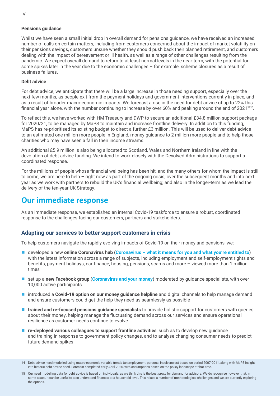#### **Pensions guidance**

Whilst we have seen a small initial drop in overall demand for pensions guidance, we have received an increased number of calls on certain matters, including from customers concerned about the impact of market volatility on their pensions savings, customers unsure whether they should push back their planned retirement, and customers dealing with the impact of bereavement or ill health, as well as a range of other challenges resulting from the pandemic. We expect overall demand to return to at least normal levels in the near-term, with the potential for some spikes later in the year due to the economic challenges – for example, scheme closures as a result of business failures.

#### **Debt advice**

For debt advice, we anticipate that there will be a large increase in those needing support, especially over the next few months, as people exit from the payment holidays and government interventions currently in place, and as a result of broader macro-economic impacts. We forecast a rise in the need for debt advice of up to 22% this financial year alone, with the number continuing to increase by over 60% and peaking around the end of 2021<sup>1415</sup>.

To reflect this, we have worked with HM Treasury and DWP to secure an additional £34.8 million support package for 2020/21, to be managed by MaPS to maintain and increase frontline delivery. In addition to this funding, MaPS has re-prioritised its existing budget to direct a further £3 million. This will be used to deliver debt advice to an estimated one million more people in England, money guidance to 2 million more people and to help those charities who may have seen a fall in their income streams.

An additional £5.9 million is also being allocated to Scotland, Wales and Northern Ireland in line with the devolution of debt advice funding. We intend to work closely with the Devolved Administrations to support a coordinated response.

For the millions of people whose financial wellbeing has been hit, and the many others for whom the impact is still to come, we are here to help – right now as part of the ongoing crisis; over the subsequent months and into next year as we work with partners to rebuild the UK's financial wellbeing; and also in the longer-term as we lead the delivery of the ten-year UK Strategy.

# **Our immediate response**

As an immediate response, we established an internal Covid-19 taskforce to ensure a robust, coordinated response to the challenges facing our customers, partners and stakeholders.

#### **Adapting our services to better support customers in crisis**

To help customers navigate the rapidly evolving impacts of Covid-19 on their money and pensions, we:

- developed a new **online Coronavirus hub** (**Coronavirus what it means for you and what you're entitled to**) with the latest information across a range of subjects, including employment and self-employment rights and benefits, payment holidays, car finance, housing, pensions, scams and more – viewed more than 1 million times
- **E** set up a new Facebook group (Coronavirus and your money) moderated by guidance specialists, with over 10,000 active participants
- **Introduced a Covid-19 option on our money quidance helpline** and digital channels to help manage demand and ensure customers could get the help they need as seamlessly as possible
- **trained and re-focused pensions guidance specialists** to provide holistic support for customers with queries about their money, helping manage the fluctuating demand across our services and ensure operational resilience as customer needs continue to evolve
- $\blacksquare$  **re-deployed various colleagues to support frontline activities**, such as to develop new guidance and training in response to government policy changes, and to analyse changing consumer needs to predict future demand spikes

<sup>14</sup> Debt advice need modelled using macro-economic variable trends (unemployment, personal insolvencies) based on period 2007-2011, along with MaPS insight into historic debt advice need. Forecast completed early April 2020, with assumptions based on the policy landscape at that time.

<sup>15</sup> Our need modelling data for debt advice is based on individuals, as we think this is the best proxy for demand for advisors. We do recognise however that, in some cases, it can be useful to also understand finances at a household level. This raises a number of methodological challenges and we are currently exploring the options.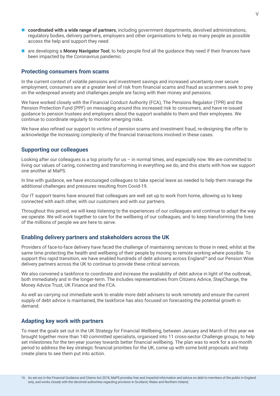- **coordinated with a wide range of partners**, including government departments, devolved administrations, regulatory bodies, delivery partners, employers and other organisations to help as many people as possible access the help and support they need
- **E** are developing a **Money Navigator Tool**, to help people find all the guidance they need if their finances have been impacted by the Coronavirus pandemic.

#### **Protecting consumers from scams**

In the current context of volatile pensions and investment savings and increased uncertainty over secure employment, consumers are at a greater level of risk from financial scams and fraud as scammers seek to prey on the widespread anxiety and challenges people are facing with their money and pensions.

We have worked closely with the Financial Conduct Authority (FCA), The Pensions Regulator (TPR) and the Pension Protection Fund (PPF) on messaging around this increased risk to consumers, and have re-issued guidance to pension trustees and employers about the support available to them and their employees. We continue to coordinate regularly to monitor emerging risks.

We have also refined our support to victims of pension scams and investment fraud, re-designing the offer to acknowledge the increasing complexity of the financial transactions involved in these cases.

#### **Supporting our colleagues**

Looking after our colleagues is a top priority for us – in normal times, and especially now. We are committed to living our values of caring, connecting and transforming in everything we do, and this starts with how we support one another at MaPS.

In line with guidance, we have encouraged colleagues to take special leave as needed to help them manage the additional challenges and pressures resulting from Covid-19.

Our IT support teams have ensured that colleagues are well set up to work from home, allowing us to keep connected with each other, with our customers and with our partners.

Throughout this period, we will keep listening to the experiences of our colleagues and continue to adapt the way we operate. We will work together to care for the wellbeing of our colleagues, and to keep transforming the lives of the millions of people we are here to serve.

#### **Enabling delivery partners and stakeholders across the UK**

Providers of face-to-face delivery have faced the challenge of maintaining services to those in need, whilst at the same time protecting the health and wellbeing of their people by moving to remote working where possible. To support this rapid transition, we have enabled hundreds of debt advisers across England<sup>16</sup> and our Pension Wise delivery partners across the UK to continue to provide these critical services.

We also convened a taskforce to coordinate and increase the availability of debt advice in light of the outbreak, both immediately and in the longer-term. The includes representatives from Citizens Advice, StepChange, the Money Advice Trust, UK Finance and the FCA.

As well as carrying out immediate work to enable more debt advisers to work remotely and ensure the current supply of debt advice is maintained, the taskforce has also focused on forecasting the potential growth in demand.

#### **Adapting key work with partners**

To meet the goals set out in the UK Strategy for Financial Wellbeing, between January and March of this year we brought together more than 140 committed specialists, organised into 11 cross-sector Challenge groups, to help set milestones for the ten-year journey towards better financial wellbeing. The plan was to work for a six-month period to address the key strategic financial priorities for the UK, come up with some bold proposals and help create plans to see them put into action.

<sup>16</sup> As set out in the Financial Guidance and Claims Act 2018, MaPS provides free and impartial information and advice on debt to members of the public in England only, and works closely with the devolved authorities regarding provision in Scotland, Wales and Northern Ireland,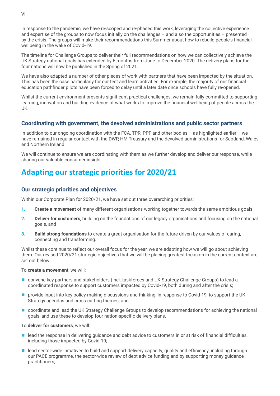In response to the pandemic, we have re-scoped and re-phased this work, leveraging the collective experience and expertise of the groups to now focus initially on the challenges – and also the opportunities – presented by the crisis. The groups will make their recommendations this Summer about how to rebuild people's financial wellbeing in the wake of Covid-19.

The timeline for Challenge Groups to deliver their full recommendations on how we can collectively achieve the UK Strategy national goals has extended by 6 months from June to December 2020. The delivery plans for the four nations will now be published in the Spring of 2021.

We have also adapted a number of other pieces of work with partners that have been impacted by the situation. This has been the case particularly for our test and learn activities. For example, the majority of our financial education pathfinder pilots have been forced to delay until a later date once schools have fully re-opened.

Whilst the current environment presents significant practical challenges, we remain fully committed to supporting learning, innovation and building evidence of what works to improve the financial wellbeing of people across the UK.

#### **Coordinating with government, the devolved administrations and public sector partners**

In addition to our ongoing coordination with the FCA, TPR, PPF and other bodies – as highlighted earlier – we have remained in regular contact with the DWP, HM Treasury and the devolved administrations for Scotland, Wales and Northern Ireland.

We will continue to ensure we are coordinating with them as we further develop and deliver our response, while sharing our valuable consumer insight.

# **Adapting our strategic priorities for 2020/21**

#### **Our strategic priorities and objectives**

Within our Corporate Plan for 2020/21, we have set out three overarching priorities:

- **1. Create a movement** of many different organisations working together towards the same ambitious goals
- **2. Deliver for customers**, building on the foundations of our legacy organisations and focusing on the national goals, and
- **3. Build strong foundations** to create a great organisation for the future driven by our values of caring, connecting and transforming.

Whilst these continue to reflect our overall focus for the year, we are adapting how we will go about achieving them. Our revised 2020/21 strategic objectives that we will be placing greatest focus on in the current context are set out below.

To **create a movement**, we will:

- convene key partners and stakeholders (incl. taskforces and UK Strategy Challenge Groups) to lead a coordinated response to support customers impacted by Covid-19, both during and after the crisis;
- **provide input into key policy-making discussions and thinking, in response to Covid-19, to support the UK** Strategy agendas and cross-cutting themes; and
- **COORDINATE:** coordinate and lead the UK Strategy Challenge Groups to develop recommendations for achieving the national goals, and use these to develop four nation-specific delivery plans.

To **deliver for customers**, we will:

- $\blacksquare$  lead the response in delivering guidance and debt advice to customers in or at risk of financial difficulties, including those impacted by Covid-19;
- **E** lead sector-wide initiatives to build and support delivery capacity, quality and efficiency, including through our PACE programme, the sector-wide review of debt advice funding and by supporting money guidance practitioners;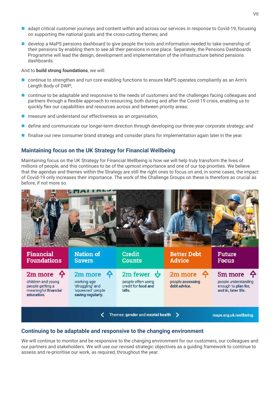- **a** adapt critical customer journeys and content within and across our services in response to Covid-19, focusing on supporting the national goals and the cross-cutting themes; and
- **develop a MaPS pensions dashboard to give people the tools and information needed to take ownership of** their pensions by enabling them to see all their pensions in one place. Separately, the Pensions Dashboards Programme will lead the design, development and implementation of the infrastructure behind pensions dashboards.

And to **build strong foundations**, we will:

- continue to strengthen and run core enabling functions to ensure MaPS operates compliantly as an Arm's Length Body of DWP;
- continue to be adaptable and responsive to the needs of customers and the challenges facing colleagues and partners through a flexible approach to resourcing, both during and after the Covid-19 crisis, enabling us to quickly flex our capabilities and resources across and between priority areas;
- measure and understand our effectiveness as an organisation;
- define and communicate our longer-term direction through developing our three-year corporate strategy; and
- **Ifinalise our new consumer brand strategy and consider plans for implementation again later in the year.**

#### **Maintaining focus on the UK Strategy for Financial Wellbeing**

Maintaining focus on the UK Strategy for Financial Wellbeing is how we will help truly transform the lives of millions of people, and this continues to be of the upmost importance and one of our top priorities. We believe that the agendas and themes within the Strategy are still the right ones to focus on and, in some cases, the impact of Covid-19 only increases their importance. The work of the Challenge Groups on these is therefore as crucial as before, if not more so.



#### **Continuing to be adaptable and responsive to the changing environment**

We will continue to monitor and be responsive to the changing environment for our customers, our colleagues and our partners and stakeholders. We will use our revised strategic objectives as a guiding framework to continue to assess and re-prioritise our work, as required, throughout the year.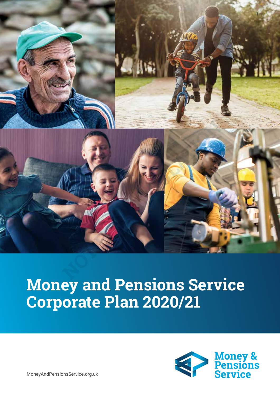

# **Money and Pensions Service Corporate Plan 2020/21**



MoneyAndPensionsService.org.uk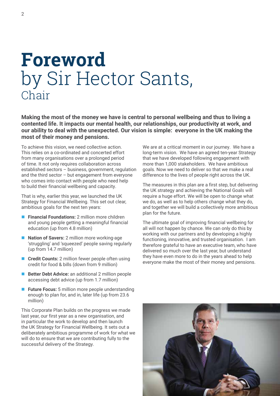# **Foreword** by Sir Hector Sants, **Chair**

**Making the most of the money we have is central to personal wellbeing and thus to living a contented life. It impacts our mental health, our relationships, our productivity at work, and our ability to deal with the unexpected. Our vision is simple: everyone in the UK making the most of their money and pensions.**

To achieve this vision, we need collective action. This relies on a co-ordinated and concerted effort from many organisations over a prolonged period of time. It not only requires collaboration across established sectors – business, government, regulation and the third sector – but engagement from everyone who comes into contact with people who need help to build their financial wellbeing and capacity.

That is why, earlier this year, we launched the UK Strategy for Financial Wellbeing. This set out clear, ambitious goals for the next ten years:

- **Financial Foundations:** 2 million more children and young people getting a meaningful financial education (up from 4.8 million)
- **Nation of Savers:** 2 million more working-age 'struggling' and 'squeezed' people saving regularly (up from 14.7 million)
- **Credit Counts:** 2 million fewer people often using credit for food & bills (down from 9 million)
- **Better Debt Advice:** an additional 2 million people accessing debt advice (up from 1.7 million)
- **Future Focus:** 5 million more people understanding enough to plan for, and in, later life (up from 23.6 million)

This Corporate Plan builds on the progress we made last year, our first year as a new organisation, and in particular the work to develop and then launch the UK Strategy for Financial Wellbeing. It sets out a deliberately ambitious programme of work for what we will do to ensure that we are contributing fully to the successful delivery of the Strategy.

We are at a critical moment in our journey. We have a long-term vision. We have an agreed ten-year Strategy that we have developed following engagement with more than 1,000 stakeholders. We have ambitious goals. Now we need to deliver so that we make a real difference to the lives of people right across the UK.

The measures in this plan are a first step, but delivering the UK strategy and achieving the National Goals will require a huge effort. We will be open to change what we do, as well as to help others change what they do, and together we will build a collectively more ambitious plan for the future.

The ultimate goal of improving financial wellbeing for all will not happen by chance. We can only do this by working with our partners and by developing a highly functioning, innovative, and trusted organisation. I am therefore grateful to have an executive team, who have delivered so much over the last year, but understand they have even more to do in the years ahead to help everyone make the most of their money and pensions.

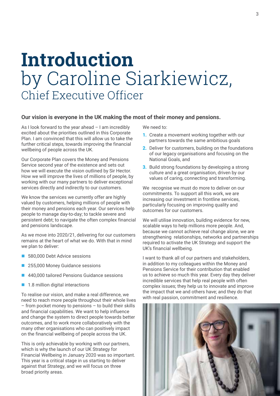# **Introduction** by Caroline Siarkiewicz, Chief Executive Officer

#### **Our vision is everyone in the UK making the most of their money and pensions.**

As I look forward to the year ahead  $-1$  am incredibly excited about the priorities outlined in this Corporate Plan. I am convinced that this will allow us to take the further critical steps, towards improving the financial wellbeing of people across the UK.

Our Corporate Plan covers the Money and Pensions Service second year of the existence and sets out how we will execute the vision outlined by Sir Hector. How we will improve the lives of millions of people, by working with our many partners to deliver exceptional services directly and indirectly to our customers.

We know the services we currently offer are highly valued by customers, helping millions of people with their money and pensions each year. Our services help people to manage day-to-day; to tackle severe and persistent debt; to navigate the often complex financial and pensions landscape.

As we move into 2020/21, delivering for our customers remains at the heart of what we do. With that in mind we plan to deliver:

- 580,000 Debt Advice sessions
- 255,000 Money Guidance sessions
- 440,000 tailored Pensions Guidance sessions
- 1.8 million digital interactions

To realise our vision, and make a real difference, we need to reach more people throughout their whole lives – from pocket money to pensions – to build their skills and financial capabilities. We want to help influence and change the system to direct people towards better outcomes, and to work more collaboratively with the many other organisations who can positively impact on the financial wellbeing of people across the UK.

This is only achievable by working with our partners, which is why the launch of our UK Strategy for Financial Wellbeing in January 2020 was so important. This year is a critical stage in us starting to deliver against that Strategy, and we will focus on three broad priority areas.

We need to:

- **1.** Create a movement working together with our partners towards the same ambitious goals
- **2.** Deliver for customers, building on the foundations of our legacy organisations and focusing on the National Goals, and
- **3.** Build strong foundations by developing a strong culture and a great organisation, driven by our values of caring, connecting and transforming.

We recognise we must do more to deliver on our commitments. To support all this work, we are increasing our investment in frontline services, particularly focusing on improving quality and outcomes for our customers.

We will utilise innovation, building evidence for new, scalable ways to help millions more people. And, because we cannot achieve real change alone, we are strengthening relationships, networks and partnerships required to activate the UK Strategy and support the UK's financial wellbeing.

I want to thank all of our partners and stakeholders, in addition to my colleagues within the Money and Pensions Service for their contribution that enabled us to achieve so much this year. Every day they deliver incredible services that help real people with often complex issues; they help us to innovate and improve the impact that we and others have; and they do that with real passion, commitment and resilience.

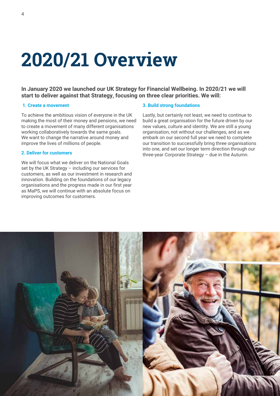# **2020/21 Overview**

**In January 2020 we launched our UK Strategy for Financial Wellbeing. In 2020/21 we will start to deliver against that Strategy, focusing on three clear priorities. We will:** 

#### **1. Create a movement**

To achieve the ambitious vision of everyone in the UK making the most of their money and pensions, we need to create a movement of many different organisations working collaboratively towards the same goals. We want to change the narrative around money and improve the lives of millions of people.

#### **2. Deliver for customers**

We will focus what we deliver on the National Goals set by the UK Strategy – including our services for customers, as well as our investment in research and innovation. Building on the foundations of our legacy organisations and the progress made in our first year as MaPS, we will continue with an absolute focus on improving outcomes for customers.

#### **3. Build strong foundations**

Lastly, but certainly not least, we need to continue to build a great organisation for the future driven by our new values, culture and identity. We are still a young organisation, not without our challenges, and as we embark on our second full year we need to complete our transition to successfully bring three organisations into one, and set our longer term direction through our three-year Corporate Strategy – due in the Autumn.

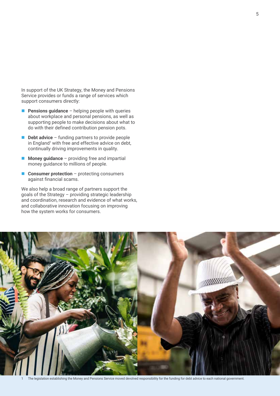In support of the UK Strategy, the Money and Pensions Service provides or funds a range of services which support consumers directly:

- **Pensions quidance** helping people with queries about workplace and personal pensions, as well as supporting people to make decisions about what to do with their defined contribution pension pots.
- **Debt advice** funding partners to provide people in England<sup>1</sup> with free and effective advice on debt, continually driving improvements in quality.
- **Money guidance** providing free and impartial money guidance to millions of people.
- **Consumer protection** protecting consumers against financial scams.

We also help a broad range of partners support the goals of the Strategy – providing strategic leadership and coordination, research and evidence of what works, and collaborative innovation focusing on improving how the system works for consumers.



The legislation establishing the Money and Pensions Service moved devolved responsibility for the funding for debt advice to each national government.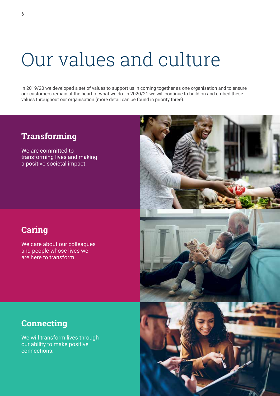# Our values and culture

In 2019/20 we developed a set of values to support us in coming together as one organisation and to ensure our customers remain at the heart of what we do. In 2020/21 we will continue to build on and embed these values throughout our organisation (more detail can be found in priority three).

# **Transforming**

We are committed to transforming lives and making a positive societal impact.

# **Caring**

We care about our colleagues and people whose lives we are here to transform.



# **Connecting**

We will transform lives through our ability to make positive connections.

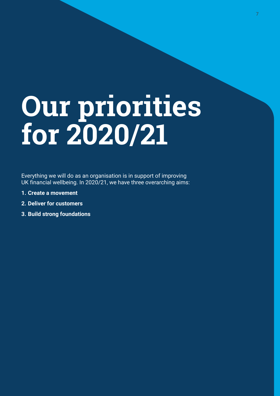# **Our priorities for 2020/21**

Everything we will do as an organisation is in support of improving UK financial wellbeing. In 2020/21, we have three overarching aims:

- **1. Create a movement**
- **2. Deliver for customers**
- **3. Build strong foundations**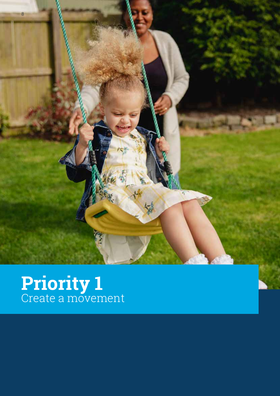

# **Priority 1** Create a movement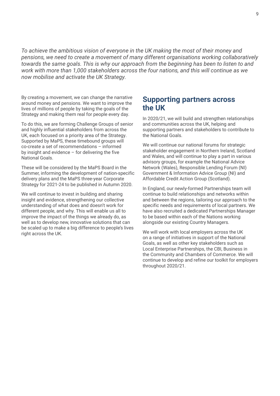*To achieve the ambitious vision of everyone in the UK making the most of their money and pensions, we need to create a movement of many different organisations working collaboratively towards the same goals. This is why our approach from the beginning has been to listen to and work with more than 1,000 stakeholders across the four nations, and this will continue as we now mobilise and activate the UK Strategy.*

By creating a movement, we can change the narrative around money and pensions. We want to improve the lives of millions of people by taking the goals of the Strategy and making them real for people every day.

To do this, we are forming Challenge Groups of senior and highly influential stakeholders from across the UK, each focused on a priority area of the Strategy. Supported by MaPS, these timebound groups will co-create a set of recommendations – informed by insight and evidence  $-$  for delivering the five National Goals.

These will be considered by the MaPS Board in the Summer, informing the development of nation-specific delivery plans and the MaPS three-year Corporate Strategy for 2021-24 to be published in Autumn 2020.

We will continue to invest in building and sharing insight and evidence, strengthening our collective understanding of what does and doesn't work for different people, and why. This will enable us all to improve the impact of the things we already do, as well as to develop new, innovative solutions that can be scaled up to make a big difference to people's lives right across the UK.

### **Supporting partners across the UK**

In 2020/21, we will build and strengthen relationships and communities across the UK, helping and supporting partners and stakeholders to contribute to the National Goals.

We will continue our national forums for strategic stakeholder engagement in Northern Ireland, Scotland and Wales, and will continue to play a part in various advisory groups, for example the National Advice Network (Wales), Responsible Lending Forum (NI) Government & Information Advice Group (NI) and Affordable Credit Action Group (Scotland).

In England, our newly-formed Partnerships team will continue to build relationships and networks within and between the regions, tailoring our approach to the specific needs and requirements of local partners. We have also recruited a dedicated Partnerships Manager to be based within each of the Nations working alongside our existing Country Managers.

We will work with local employers across the UK on a range of initiatives in support of the National Goals, as well as other key stakeholders such as Local Enterprise Partnerships, the CBI, Business in the Community and Chambers of Commerce. We will continue to develop and refine our toolkit for employers throughout 2020/21.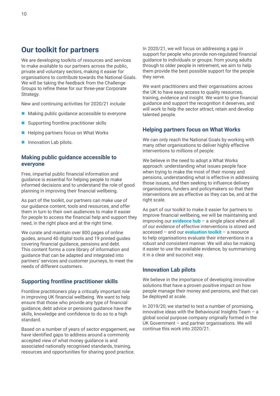# **Our toolkit for partners**

We are developing toolkits of resources and services to make available to our partners across the public, private and voluntary sectors, making it easier for organisations to contribute towards the National Goals. We will be taking the feedback from the Challenge Groups to refine these for our three-year Corporate Strategy.

New and continuing activities for 2020/21 include:

- Making public quidance accessible to everyone
- Supporting frontline practitioner skills
- Helping partners focus on What Works
- **Innovation Lab pilots.**

#### **Making public guidance accessible to everyone**

Free, impartial public financial information and guidance is essential for helping people to make informed decisions and to understand the role of good planning in improving their financial wellbeing.

As part of the toolkit, our partners can make use of our guidance content, tools and resources, and offer them in turn to their own audiences to make it easier for people to access the financial help and support they need, in the right place and at the right time.

We curate and maintain over 800 pages of online guides, around 40 digital tools and 19 printed guides covering financial guidance, pensions and debt. This content forms a core library of information and guidance that can be adapted and integrated into partners' services and customer journeys, to meet the needs of different customers.

#### **Supporting frontline practitioner skills**

Frontline practitioners play a critically important role in improving UK financial wellbeing. We want to help ensure that those who provide any type of financial guidance, debt advice or pensions guidance have the skills, knowledge and confidence to do so to a high standard.

Based on a number of years of sector engagement, we have identified gaps to address around a commonly accepted view of what money guidance is and associated nationally recognised standards, training, resources and opportunities for sharing good practice.

In 2020/21, we will focus on addressing a gap in support for people who provide non-regulated financial guidance to individuals or groups: from young adults through to older people in retirement, we aim to help them provide the best possible support for the people they serve.

We want practitioners and their organisations across the UK to have easy access to quality resources, training, evidence and insight. We want to give financial guidance and support the recognition it deserves, and will work to help the sector attract, retain and develop talented people.

#### **Helping partners focus on What Works**

We can only reach the National Goals by working with many other organisations to deliver highly effective interventions to millions of people.

We believe in the need to adopt a What Works approach: understanding what issues people face when trying to make the most of their money and pensions, understanding what is effective in addressing those issues, and then seeking to influence delivery organisations, funders and policymakers so that their interventions are as effective as they can be, and at the right scale.

As part of our toolkit to make it easier for partners to improve financial wellbeing, we will be maintaining and improving our **evidence hub** – a single place where all of our evidence of effective interventions is stored and accessed – and our **evaluation toolkit** – a resource to help organisations evaluate their interventions in a robust and consistent manner. We will also be making it easier to use the available evidence, by summarising it in a clear and succinct way.

#### **Innovation Lab pilots**

We believe in the importance of developing innovative solutions that have a proven positive impact on how people manage their money and pensions, and that can be deployed at scale.

In 2019/20, we started to test a number of promising, innovative ideas with the Behavioural Insights Team – a global social purpose company originally formed in the UK Government – and partner organisations. We will continue this work into 2020/21.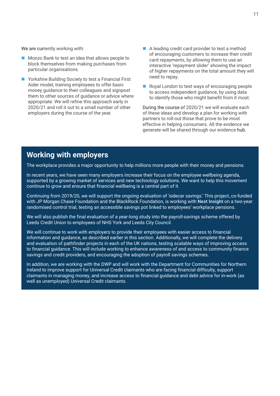We are currently working with:

- Monzo Bank to test an idea that allows people to block themselves from making purchases from particular organisations.
- Yorkshire Building Society to test a Financial First Aider model, training employees to offer basic money guidance to their colleagues and signpost them to other sources of guidance or advice where appropriate. We will refine this approach early in 2020/21 and roll it out to a small number of other employers during the course of the year.
- A leading credit card provider to test a method of encouraging customers to increase their credit card repayments, by allowing them to use an interactive 'repayment slider' showing the impact of higher repayments on the total amount they will need to repay.
- Royal London to test ways of encouraging people to access independent guidance, by using data to identify those who might benefit from it most.

During the course of 2020/21 we will evaluate each of these ideas and develop a plan for working with partners to roll-out those that prove to be most effective in helping consumers. All the evidence we generate will be shared through our evidence hub.

# **Working with employers**

The workplace provides a major opportunity to help millions more people with their money and pensions.

In recent years, we have seen many employers increase their focus on the employee wellbeing agenda, supported by a growing market of services and new technology solutions. We want to help this movement continue to grow and ensure that financial wellbeing is a central part of it.

Continuing from 2019/20, we will support the ongoing evaluation of 'sidecar savings.' This project, co-funded with JP Morgan Chase Foundation and the BlackRock Foundation, is working with **Nest Insight** on a two-year randomised control trial, testing an accessible savings pot linked to employees' workplace pensions.

We will also publish the final evaluation of a year-long study into the payroll-savings scheme offered by Leeds Credit Union to employees of NHS York and Leeds City Council.

We will continue to work with employers to provide their employees with easier access to financial information and guidance, as described earlier in this section. Additionally, we will complete the delivery and evaluation of pathfinder projects in each of the UK nations, testing scalable ways of improving access to financial guidance. This will include working to enhance awareness of and access to community finance savings and credit providers, and encouraging the adoption of payroll savings schemes.

In addition, we are working with the DWP and will work with the Department for Communities for Northern Ireland to improve support for Universal Credit claimants who are facing financial difficulty, support claimants in managing money, and increase access to financial guidance and debt advice for in-work (as well as unemployed) Universal Credit claimants.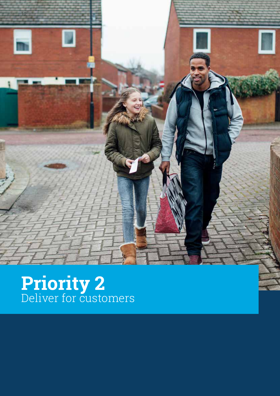

# **Priority 2** Deliver for customers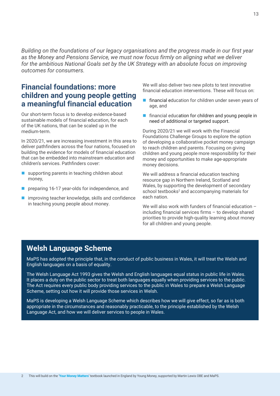*Building on the foundations of our legacy organisations and the progress made in our first year as the Money and Pensions Service, we must now focus firmly on aligning what we deliver for the ambitious National Goals set by the UK Strategy with an absolute focus on improving outcomes for consumers.*

# **Financial foundations: more children and young people getting a meaningful financial education**

Our short-term focus is to develop evidence-based sustainable models of financial education, for each of the UK nations, that can be scaled up in the medium-term.

In 2020/21, we are increasing investment in this area to deliver pathfinders across the four nations, focused on building the evidence for models of financial education that can be embedded into mainstream education and children's services. Pathfinders cover:

- supporting parents in teaching children about money,
- preparing 16-17 year-olds for independence, and
- improving teacher knowledge, skills and confidence in teaching young people about money.

We will also deliver two new pilots to test innovative financial education interventions. These will focus on:

- financial education for children under seven years of age, and
- **financial education for children and young people in** need of additional or targeted support.

During 2020/21 we will work with the Financial Foundations Challenge Groups to explore the option of developing a collaborative pocket money campaign to reach children and parents. Focusing on giving children and young people more responsibility for their money and opportunities to make age-appropriate money decisions.

We will address a financial education teaching resource gap in Northern Ireland, Scotland and Wales, by supporting the development of secondary school textbooks<sup>2</sup> and accompanying materials for each nation.

We will also work with funders of financial education including financial services firms – to develop shared priorities to provide high-quality learning about money for all children and young people.

### **Welsh Language Scheme**

MaPS has adopted the principle that, in the conduct of public business in Wales, it will treat the Welsh and English languages on a basis of equality.

The Welsh Language Act 1993 gives the Welsh and English languages equal status in public life in Wales. It places a duty on the public sector to treat both languages equally when providing services to the public. The Act requires every public body providing services to the public in Wales to prepare a Welsh Language Scheme, setting out how it will provide those services in Welsh.

MaPS is developing a Welsh Language Scheme which describes how we will give effect, so far as is both appropriate in the circumstances and reasonably practicable, to the principle established by the Welsh Language Act, and how we will deliver services to people in Wales.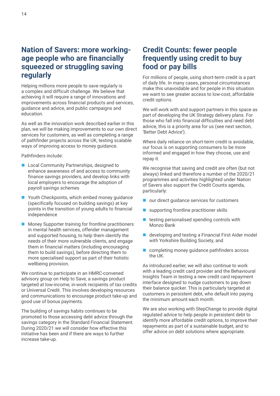## **Nation of Savers: more workingage people who are financially squeezed or struggling saving regularly**

Helping millions more people to save regularly is a complex and difficult challenge. We believe that achieving it will require a range of innovations and improvements across financial products and services, guidance and advice, and public campaigns and education.

As well as the innovation work described earlier in this plan, we will be making improvements to our own direct services for customers, as well as completing a range of pathfinder projects across the UK, testing scalable ways of improving access to money guidance.

Pathfinders include:

- **Local Community Partnerships, designed to** enhance awareness of and access to community finance savings providers, and develop links with local employers to encourage the adoption of payroll savings schemes
- Youth Checkpoints, which embed money guidance (specifically focused on building savings) at key points in the transition of young adults to financial independence
- **Money Supporter training for frontline practitioners** in mental health services, offender management and supported housing, to help them identify the needs of their more vulnerable clients, and engage them in financial matters (including encouraging them to build savings), before directing them to more specialised support as part of their holistic wellbeing provision.

We continue to participate in an HMRC-convened advisory group on Help to Save, a savings product targeted at low-income, in-work recipients of tax credits or Universal Credit. This involves developing resources and communications to encourage product take-up and good use of bonus payments.

The building of savings habits continues to be promoted to those accessing debt advice through the savings category in the Standard Financial Statement. During 2020/21 we will consider how effective this initiative has been and if there are ways to further increase take-up.

# **Credit Counts: fewer people frequently using credit to buy food or pay bills**

For millions of people, using short-term credit is a part of daily life. In many cases, personal circumstances make this unavoidable and for people in this situation we want to see greater access to low-cost, affordable credit options.

We will work with and support partners in this space as part of developing the UK Strategy delivery plans. For those who fall into financial difficulties and need debt advice, this is a priority area for us (see next section, 'Better Debt Advice').

Where daily reliance on short-term credit is avoidable, our focus is on supporting consumers to be more informed and engaged in how they choose, use and repay it.

We recognise that saving and credit are often (but not always) linked and therefore a number of the 2020/21 programmes and activities highlighted under Nation of Savers also support the Credit Counts agenda, particularly:

- our direct guidance services for customers
- supporting frontline practitioner skills
- $\blacksquare$  testing personalised spending controls with Monzo Bank
- developing and testing a Financial First Aider model with Yorkshire Building Society, and
- completing money guidance pathfinders across the UK.

As introduced earlier, we will also continue to work with a leading credit card provider and the Behavioural Insights Team in testing a new credit card repayment interface designed to nudge customers to pay down their balance quicker. This is particularly targeted at customers in persistent debt, who default into paying the minimum amount each month.

We are also working with StepChange to provide digital regulated advice to help people in persistent debt to identify more affordable credit options, to improve their repayments as part of a sustainable budget, and to offer advice on debt solutions where appropriate.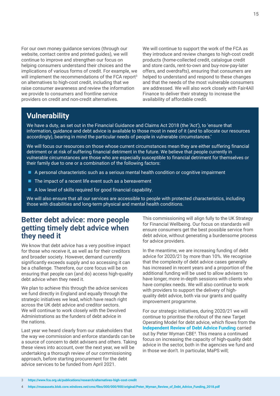For our own money guidance services (through our website, contact centre and printed guides), we will continue to improve and strengthen our focus on helping consumers understand their choices and the implications of various forms of credit. For example, we will implement the recommendations of the FCA report<sup>3</sup> on alternatives to high-cost credit, including that we raise consumer awareness and review the information we provide to consumers and frontline service providers on credit and non-credit alternatives.

We will continue to support the work of the FCA as they introduce and review changes to high-cost credit products (home-collected credit, catalogue credit and store cards, rent-to-own and buy-now-pay-later offers, and overdrafts), ensuring that consumers are helped to understand and respond to these changes and that the needs of the most vulnerable consumers are addressed. We will also work closely with Fair4All Finance to deliver their strategy to increase the availability of affordable credit.

# **Vulnerability**

We have a duty, as set out in the Financial Guidance and Claims Act 2018 (the 'Act'), to 'ensure that information, guidance and debt advice is available to those most in need of it (and to allocate our resources accordingly), bearing in mind the particular needs of people in vulnerable circumstances.'

We will focus our resources on those whose current circumstances mean they are either suffering financial detriment or at risk of suffering financial detriment in the future. We believe that people currently in vulnerable circumstances are those who are especially susceptible to financial detriment for themselves or their family due to one or a combination of the following factors:

- A personal characteristic such as a serious mental health condition or cognitive impairment
- $\blacksquare$  The impact of a recent life event such as a bereavement
- A low level of skills required for good financial capability.

We will also ensure that all our services are accessible to people with protected characteristics, including those with disabilities and long-term physical and mental health conditions.

### **Better debt advice: more people getting timely debt advice when they need it**

We know that debt advice has a very positive impact for those who receive it, as well as for their creditors and broader society. However, demand currently significantly exceeds supply and so accessing it can be a challenge. Therefore, our core focus will be on ensuring that people can (and do) access high-quality debt advice when they need it.

We plan to achieve this through the advice services we fund directly in England and equally through the strategic initiatives we lead, which have reach right across the UK debt advice and creditor sectors. We will continue to work closely with the Devolved Administrations as the funders of debt advice in the nations.

Last year we heard clearly from our stakeholders that the way we commission and enforce standards can be a source of concern to debt advisers and others. Taking these views into account, over the next year, we will be undertaking a thorough review of our commissioning approach, before starting procurement for the debt advice services to be funded from April 2021.

This commissioning will align fully to the UK Strategy for Financial Wellbeing. Our focus on standards will ensure consumers get the best possible service from debt advice, without generating a burdensome process for advice providers.

In the meantime, we are increasing funding of debt advice for 2020/21 by more than 10%. We recognise that the complexity of debt advice cases generally has increased in recent years and a proportion of the additional funding will be used to allow advisers to have longer, more in-depth sessions with clients who have complex needs. We will also continue to work with providers to support the delivery of highquality debt advice, both via our grants and quality improvement programme.

For our strategic initiatives, during 2020/21 we will continue to prioritise the rollout of the new Target Operating Model for debt advice, which flows from the **Independent Review of Debt Advice Funding** carried out by Peter Wyman CBE<sup>4</sup>. This means a continued focus on increasing the capacity of high-quality debt advice in the sector, both in the agencies we fund and in those we don't. In particular, MaPS will;

<sup>4</sup> **https://masassets.blob.core.windows.net/cms/files/000/000/900/original/Peter\_Wyman\_Review\_of\_Debt\_Advice\_Funding\_2018.pdf**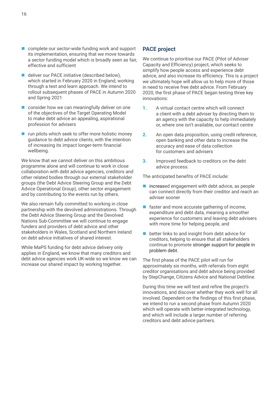- complete our sector-wide funding work and support its implementation, ensuring that we move towards a sector funding model which is broadly seen as fair, effective and sufficient
- deliver our PACE initiative (described below), which started in February 2020 in England, working through a test and learn approach. We intend to rollout subsequent phases of PACE in Autumn 2020 and Spring 2021
- consider how we can meaningfully deliver on one of the objectives of the Target Operating Model to make debt advice an appealing, aspirational profession for advisers
- $\blacksquare$  run pilots which seek to offer more holistic money guidance to debt advice clients, with the intention of increasing its impact longer-term financial wellbeing.

We know that we cannot deliver on this ambitious programme alone and will continue to work in close collaboration with debt advice agencies, creditors and other related bodies through our external stakeholder groups (the Debt Advice Steering Group and the Debt Advice Operational Group), other sector engagement and by contributing to the events run by others.

We also remain fully committed to working in close partnership with the devolved administrations. Through the Debt Advice Steering Group and the Devolved Nations Sub-Committee we will continue to engage funders and providers of debt advice and other stakeholders in Wales, Scotland and Northern Ireland on debt advice initiatives of shared interest.

While MaPS funding for debt advice delivery only applies in England, we know that many creditors and debt advice agencies work UK-wide so we know we can increase our shared impact by working together.

#### **PACE project**

We continue to prioritise our PACE (Pilot of Adviser Capacity and Efficiency) project, which seeks to simplify how people access and experience debt advice, and also increase its efficiency. This is a project we ultimately hope will allow us to help more of those in need to receive free debt advice. From February 2020, the first phase of PACE began testing three key innovations:

- **1.** A virtual contact centre which will connect a client with a debt adviser by directing them to an agency with the capacity to help immediately or, where one isn't available, our contact centre
- **2.** An open data proposition, using credit reference, open banking and other data to increase the accuracy and ease of data collection for customers and advisers
- **3.** Improved feedback to creditors on the debt advice process.

The anticipated benefits of PACE include:

- $\blacksquare$  increased engagement with debt advice, as people can connect directly from their creditor and reach an adviser sooner
- $\blacksquare$  faster and more accurate gathering of income, expenditure and debt data, meaning a smoother experience for customers and leaving debt advisers with more time for helping people, and
- better links to and insight from debt advice for creditors, helping to ensure that all stakeholders continue to promote stronger support for people in problem debt.

The first phase of the PACE pilot will run for approximately six months, with referrals from eight creditor organisations and debt advice being provided by StepChange, Citizens Advice and National Debtline.

During this time we will test and refine the project's innovations, and discover whether they work well for all involved. Dependent on the findings of this first phase, we intend to run a second phase from Autumn 2020 which will operate with better-integrated technology, and which will include a larger number of referring creditors and debt advice partners.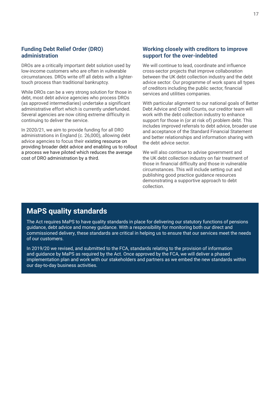#### **Funding Debt Relief Order (DRO) administration**

DROs are a critically important debt solution used by low-income customers who are often in vulnerable circumstances. DROs write off all debts with a lightertouch process than traditional bankruptcy.

While DROs can be a very strong solution for those in debt, most debt advice agencies who process DROs (as approved intermediaries) undertake a significant administrative effort which is currently underfunded. Several agencies are now citing extreme difficulty in continuing to deliver the service.

In 2020/21, we aim to provide funding for all DRO administrations in England (c. 26,000), allowing debt advice agencies to focus their existing resource on providing broader debt advice and enabling us to rollout a process we have piloted which reduces the average cost of DRO administration by a third.

#### **Working closely with creditors to improve support for the over-indebted**

We will continue to lead, coordinate and influence cross-sector projects that improve collaboration between the UK debt collection industry and the debt advice sector. Our programme of work spans all types of creditors including the public sector, financial services and utilities companies.

With particular alignment to our national goals of Better Debt Advice and Credit Counts, our creditor team will work with the debt collection industry to enhance support for those in (or at risk of) problem debt. This includes improved referrals to debt advice, broader use and acceptance of the Standard Financial Statement and better relationships and information sharing with the debt advice sector.

We will also continue to advise government and the UK debt collection industry on fair treatment of those in financial difficulty and those in vulnerable circumstances. This will include setting out and publishing good practice guidance resources demonstrating a supportive approach to debt collection.

### **MaPS quality standards**

The Act requires MaPS to have quality standards in place for delivering our statutory functions of pensions guidance, debt advice and money guidance. With a responsibility for monitoring both our direct and commissioned delivery, these standards are critical in helping us to ensure that our services meet the needs of our customers.

In 2019/20 we revised, and submitted to the FCA, standards relating to the provision of information and guidance by MaPS as required by the Act. Once approved by the FCA, we will deliver a phased implementation plan and work with our stakeholders and partners as we embed the new standards within our day-to-day business activities.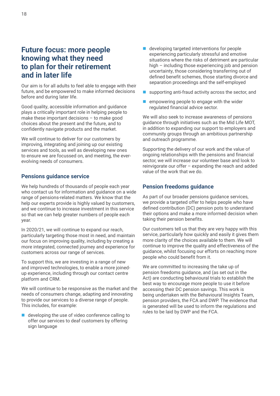# **Future focus: more people knowing what they need to plan for their retirement and in later life**

Our aim is for all adults to feel able to engage with their future, and be empowered to make informed decisions before and during later life.

Good quality, accessible information and guidance plays a critically important role in helping people to make these important decisions – to make good choices about the present and the future, and to confidently navigate products and the market.

We will continue to deliver for our customers by improving, integrating and joining up our existing services and tools, as well as developing new ones to ensure we are focussed on, and meeting, the everevolving needs of consumers.

#### **Pensions guidance service**

We help hundreds of thousands of people each year who contact us for information and guidance on a wide range of pensions-related matters. We know that the help our experts provide is highly valued by customers, and we continue to increase investment in this service so that we can help greater numbers of people each year.

In 2020/21, we will continue to expand our reach, particularly targeting those most in need, and maintain our focus on improving quality, including by creating a more integrated, connected journey and experience for customers across our range of services.

To support this, we are investing in a range of new and improved technologies, to enable a more joinedup experience, including through our contact centre platform and CRM.

We will continue to be responsive as the market and the needs of consumers change, adapting and innovating to provide our services to a diverse range of people. This includes, for example:

 developing the use of video conference calling to offer our services to deaf customers by offering sign language

- developing targeted interventions for people experiencing particularly stressful and emotive situations where the risks of detriment are particular high – including those experiencing job and pension uncertainty, those considering transferring out of defined benefit schemes, those starting divorce and separation proceedings and the self-employed
- supporting anti-fraud activity across the sector, and
- empowering people to engage with the wider regulated financial advice sector.

We will also seek to increase awareness of pensions guidance through initiatives such as the Mid Life MOT, in addition to expanding our support to employers and community groups through an ambitious partnership and outreach programme.

Supporting the delivery of our work and the value of ongoing relationships with the pensions and financial sector, we will increase our volunteer base and look to reinvigorate our offer – expanding the reach and added value of the work that we do.

#### **Pension freedoms guidance**

As part of our broader pensions guidance services, we provide a targeted offer to helps people who have defined contribution (DC) pension pots to understand their options and make a more informed decision when taking their pension benefits.

Our customers tell us that they are very happy with this service, particularly how quickly and easily it gives them more clarity of the choices available to them. We will continue to improve the quality and effectiveness of the guidance, whilst focusing our efforts on reaching more people who could benefit from it.

We are committed to increasing the take up of pension freedoms guidance, and (as set out in the Act) are conducting behavioural trials to establish the best way to encourage more people to use it before accessing their DC pension savings. This work is being undertaken with the Behavioural Insights Team, pension providers, the FCA and DWP. The evidence that is generated will be used to inform the regulations and rules to be laid by DWP and the FCA.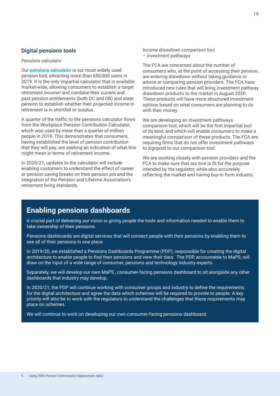#### **Digital pensions tools**

#### *Pensions calculator*

Our **pensions calculator** is our most widely used pension tool, attracting more than 650,000 users in 2019. It is the only impartial calculator that is available market-wide, allowing consumers to establish a target retirement income<sup>5</sup> and combine their current and past pension entitlements (both DC and DB) and state pension to establish whether their projected income in retirement is in shortfall or surplus.

A quarter of the traffic to the pensions calculator flows from the Workplace Pension Contribution Calculator, which was used by more than a quarter of million people in 2019. This demonstrates that consumers, having established the level of pension contribution that they will pay, are seeking an indication of what this might mean in terms of retirement income.

In 2020/21, updates to the calculator will include enabling customers to understand the effect of career or pension saving breaks on their pension pot and the integration of the Pension and Lifetime Association's retirement living standards.

*Income drawdown comparison tool – investment pathways*

The FCA are concerned about the number of consumers who, at the point of accessing their pension, are entering drawdown without taking guidance or advice or comparing pension providers. The FCA have introduced new rules that will bring investment pathway drawdown products to the market in August 2020. These products will have more structured investment options based on what consumers are planning to do with their money.

We are developing an investment pathways comparison tool, which will be the first impartial tool of its kind, and which will enable consumers to make a meaningful comparison of these products. The FCA are requiring firms that do not offer investment pathways to signpost to our comparison tool.

We are working closely with pension providers and the FCA to make sure that our tool is fit for the purpose intended by the regulator, while also accurately reflecting the market and having buy-in from industry.

# **Enabling pensions dashboards**

A crucial part of delivering our vision is giving people the tools and information needed to enable them to take ownership of their pensions.

Pensions dashboards are digital services that will connect people with their pensions by enabling them to see all of their pensions in one place.

In 2019/20, we established a Pensions Dashboards Programme (PDP), responsible for creating the digital architecture to enable people to find their pensions and view their data. The PDP, accountable to MaPS, will draw on the input of a wide range of consumer, pensions and technology industry experts.

Separately, we will develop our own MaPS , consumer-facing pensions dashboard to sit alongside any other dashboards that industry may develop.

In 2020/21, the PDP will continue working with consumer groups and industry to define the requirements for the digital architecture and agree the data which schemes will be required to provide to people. A key priority will also be to work with the regulators to understand the challenges that these requirements may place on schemes.

We will continue to work on developing our own consumer-facing pensions dashboard.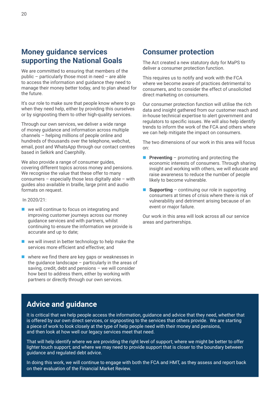# **Money guidance services supporting the National Goals**

We are committed to ensuring that members of the public – particularly those most in need – are able to access the information and guidance they need to manage their money better today, and to plan ahead for the future.

It's our role to make sure that people know where to go when they need help, either by providing this ourselves or by signposting them to other high-quality services.

Through our own services, we deliver a wide range of money guidance and information across multiple channels – helping millions of people online and hundreds of thousands over the telephone, webchat, email, post and WhatsApp through our contact centres based in Selkirk and Caerphilly.

We also provide a range of consumer guides, covering different topics across money and pensions. We recognise the value that these offer to many consumers – especially those less digitally able – with guides also available in braille, large print and audio formats on request.

In 2020/21:

- we will continue to focus on integrating and improving customer journeys across our money guidance services and with partners, whilst continuing to ensure the information we provide is accurate and up to date;
- we will invest in better technology to help make the services more efficient and effective; and
- $\blacksquare$  where we find there are key gaps or weaknesses in the guidance landscape – particularly in the areas of saving, credit, debt and pensions – we will consider how best to address them, either by working with partners or directly through our own services.

### **Consumer protection**

The Act created a new statutory duty for MaPS to deliver a consumer protection function.

This requires us to notify and work with the FCA where we become aware of practices detrimental to consumers, and to consider the effect of unsolicited direct marketing on consumers.

Our consumer protection function will utilise the rich data and insight gathered from our customer reach and in-house technical expertise to alert government and regulators to specific issues. We will also help identify trends to inform the work of the FCA and others where we can help mitigate the impact on consumers.

The two dimensions of our work in this area will focus on:

- **Preventing** promoting and protecting the economic interests of consumers. Through sharing insight and working with others, we will educate and raise awareness to reduce the number of people likely to become vulnerable.
- **Supporting** continuing our role in supporting consumers at times of crisis where there is risk of vulnerability and detriment arising because of an event or major failure.

Our work in this area will look across all our service areas and partnerships.

### **Advice and guidance**

It is critical that we help people access the information, guidance and advice that they need, whether that is offered by our own direct services, or signposting to the services that others provide. We are starting a piece of work to look closely at the type of help people need with their money and pensions, and then look at how well our legacy services meet that need.

That will help identify where we are providing the right level of support; where we might be better to offer lighter touch support; and where we may need to provide support that is closer to the boundary between guidance and regulated debt advice.

In doing this work, we will continue to engage with both the FCA and HMT, as they assess and report back on their evaluation of the Financial Market Review.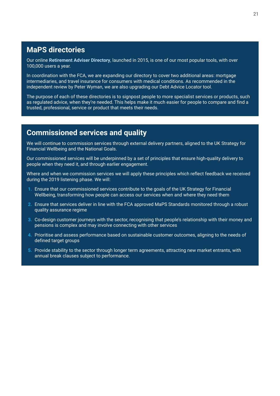# **MaPS directories**

Our online **Retirement Adviser Directory**, launched in 2015, is one of our most popular tools, with over 100,000 users a year.

In coordination with the FCA, we are expanding our directory to cover two additional areas: mortgage intermediaries, and travel insurance for consumers with medical conditions. As recommended in the independent review by Peter Wyman, we are also upgrading our Debt Advice Locator tool.

The purpose of each of these directories is to signpost people to more specialist services or products, such as regulated advice, when they're needed. This helps make it much easier for people to compare and find a trusted, professional, service or product that meets their needs.

## **Commissioned services and quality**

We will continue to commission services through external delivery partners, aligned to the UK Strategy for Financial Wellbeing and the National Goals.

Our commissioned services will be underpinned by a set of principles that ensure high-quality delivery to people when they need it, and through earlier engagement.

Where and when we commission services we will apply these principles which reflect feedback we received during the 2019 listening phase. We will:

- **1.** Ensure that our commissioned services contribute to the goals of the UK Strategy for Financial Wellbeing, transforming how people can access our services when and where they need them
- **2.** Ensure that services deliver in line with the FCA approved MaPS Standards monitored through a robust quality assurance regime
- **3.** Co-design customer journeys with the sector, recognising that people's relationship with their money and pensions is complex and may involve connecting with other services
- **4.** Prioritise and assess performance based on sustainable customer outcomes, aligning to the needs of defined target groups
- **5.** Provide stability to the sector through longer term agreements, attracting new market entrants, with annual break clauses subject to performance.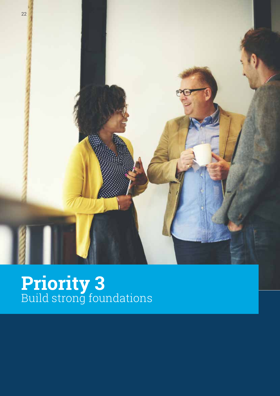

# **Priority 3** Build strong foundations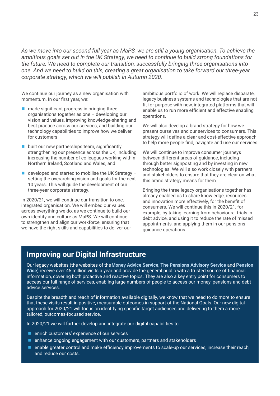*As we move into our second full year as MaPS, we are still a young organisation. To achieve the ambitious goals set out in the UK Strategy, we need to continue to build strong foundations for the future. We need to complete our transition, successfully bringing three organisations into one. And we need to build on this, creating a great organisation to take forward our three-year corporate strategy, which we will publish in Autumn 2020.*

We continue our journey as a new organisation with momentum. In our first year, we:

- $\blacksquare$  made significant progress in bringing three organisations together as one – developing our vision and values, improving knowledge-sharing and best practice across our services, and building our technology capabilities to improve how we deliver for customers
- built our new partnerships team, significantly strengthening our presence across the UK, including increasing the number of colleagues working within Northern Ireland, Scotland and Wales, and
- developed and started to mobilise the UK Strategy setting the overarching vision and goals for the next 10 years. This will guide the development of our three-year corporate strategy.

In 2020/21, we will continue our transition to one, integrated organisation. We will embed our values across everything we do, as we continue to build our own identity and culture as MaPS. We will continue to strengthen and align our workforce, ensuring that we have the right skills and capabilities to deliver our ambitious portfolio of work. We will replace disparate, legacy business systems and technologies that are not fit for purpose with new, integrated platforms that will enable us to run more efficient and effective enabling operations.

We will also develop a brand strategy for how we present ourselves and our services to consumers. This strategy will define a clear and cost-effective approach to help more people find, navigate and use our services.

We will continue to improve consumer journeys between different areas of guidance, including through better signposting and by investing in new technologies. We will also work closely with partners and stakeholders to ensure that they are clear on what this brand strategy means for them.

Bringing the three legacy organisations together has already enabled us to share knowledge, resources and innovation more effectively, for the benefit of consumers. We will continue this in 2020/21, for example, by taking learning from behavioural trials in debt advice, and using it to reduce the rate of missed appointments, and applying them in our pensions guidance operations.

### **Improving our Digital Infrastructure**

Our legacy websites (the websites of the**Money Advice Service**, **The Pensions Advisory Service** and **Pension Wise**) receive over 45 million visits a year and provide the general public with a trusted source of financial information, covering both proactive and reactive topics. They are also a key entry point for consumers to access our full range of services, enabling large numbers of people to access our money, pensions and debt advice services.

Despite the breadth and reach of information available digitally, we know that we need to do more to ensure that these visits result in positive, measurable outcomes in support of the National Goals. Our new digital approach for 2020/21 will focus on identifying specific target audiences and delivering to them a more tailored, outcomes-focused service.

In 2020/21 we will further develop and integrate our digital capabilities to:

- enrich customers' experience of our services
- **E** enhance ongoing engagement with our customers, partners and stakeholders
- **E** enable greater control and make efficiency improvements to scale-up our services, increase their reach, and reduce our costs.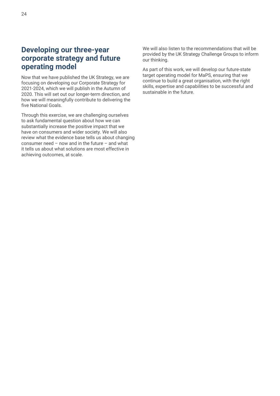# **Developing our three-year corporate strategy and future operating model**

Now that we have published the UK Strategy, we are focusing on developing our Corporate Strategy for 2021-2024, which we will publish in the Autumn of 2020. This will set out our longer-term direction, and how we will meaningfully contribute to delivering the five National Goals.

Through this exercise, we are challenging ourselves to ask fundamental question about how we can substantially increase the positive impact that we have on consumers and wider society. We will also review what the evidence base tells us about changing consumer need – now and in the future – and what it tells us about what solutions are most effective in achieving outcomes, at scale.

We will also listen to the recommendations that will be provided by the UK Strategy Challenge Groups to inform our thinking.

As part of this work, we will develop our future-state target operating model for MaPS, ensuring that we continue to build a great organisation, with the right skills, expertise and capabilities to be successful and sustainable in the future.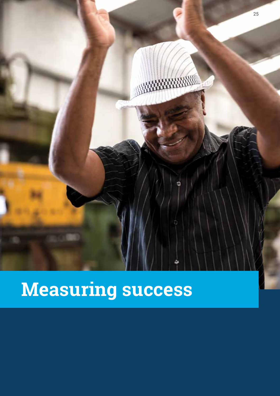

# **Measuring success**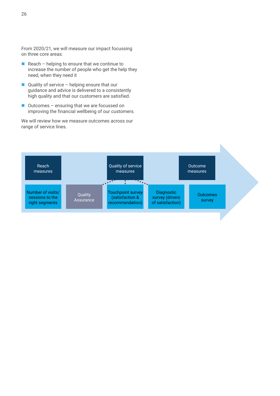From 2020/21, we will measure our impact focussing on three core areas:

- Reach helping to ensure that we continue to increase the number of people who get the help they need, when they need it
- $\Box$  Quality of service helping ensure that our guidance and advice is delivered to a consistently high quality and that our customers are satisfied.
- Outcomes ensuring that we are focussed on improving the financial wellbeing of our customers.

We will review how we measure outcomes across our range of service lines.

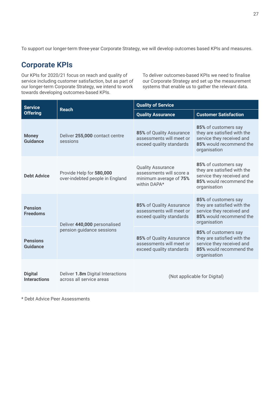To support our longer-term three-year Corporate Strategy, we will develop outcomes based KPIs and measures.

# **Corporate KPIs**

Our KPIs for 2020/21 focus on reach and quality of service including customer satisfaction, but as part of our longer-term Corporate Strategy, we intend to work towards developing outcomes-based KPIs.

To deliver outcomes-based KPIs we need to finalise our Corporate Strategy and set up the measurement systems that enable us to gather the relevant data.

| <b>Service</b><br><b>Offering</b>     | <b>Reach</b>                                                  | <b>Quality of Service</b>                                                                      |                                                                                                                             |
|---------------------------------------|---------------------------------------------------------------|------------------------------------------------------------------------------------------------|-----------------------------------------------------------------------------------------------------------------------------|
|                                       |                                                               | <b>Quality Assurance</b>                                                                       | <b>Customer Satisfaction</b>                                                                                                |
| <b>Money</b><br>Guidance              | Deliver 255,000 contact centre<br>sessions                    | 85% of Quality Assurance<br>assessments will meet or<br>exceed quality standards               | 85% of customers say<br>they are satisfied with the<br>service they received and<br>85% would recommend the<br>organisation |
| <b>Debt Advice</b>                    | Provide Help for 580,000<br>over-indebted people in England   | <b>Quality Assurance</b><br>assessments will score a<br>minimum average of 75%<br>within DAPA* | 85% of customers say<br>they are satisfied with the<br>service they received and<br>85% would recommend the<br>organisation |
| <b>Pension</b><br><b>Freedoms</b>     | Deliver 440,000 personalised<br>pension guidance sessions     | 85% of Quality Assurance<br>assessments will meet or<br>exceed quality standards               | 85% of customers say<br>they are satisfied with the<br>service they received and<br>85% would recommend the<br>organisation |
| <b>Pensions</b><br>Guidance           |                                                               | 85% of Quality Assurance<br>assessments will meet or<br>exceed quality standards               | 85% of customers say<br>they are satisfied with the<br>service they received and<br>85% would recommend the<br>organisation |
| <b>Digital</b><br><b>Interactions</b> | Deliver 1.8m Digital Interactions<br>across all service areas | (Not applicable for Digital)                                                                   |                                                                                                                             |

\* Debt Advice Peer Assessments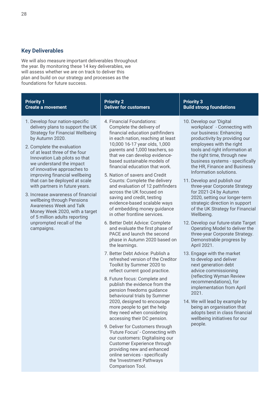#### **Key Deliverables**

We will also measure important deliverables throughout the year. By monitoring these 14 key deliverables, we will assess whether we are on track to deliver this plan and build on our strategy and processes as the foundations for future success.

with partners in future years. 3. Increase awareness of financial wellbeing through Pensions Awareness Week and Talk Money Week 2020, with a target of 5 million adults reporting unprompted recall of the

campaigns.

#### **Priority 1 Create a movement Priority 2 Deliver for customers Priority 3 Build strong foundations** 1. Develop four nation-specific delivery plans to support the UK Strategy for Financial Wellbeing by Autumn 2020. 2. Complete the evaluation of at least three of the four Innovation Lab pilots so that we understand the impact of innovative approaches to improving financial wellbeing that can be deployed at scale 4. Financial Foundations: Complete the delivery of financial education pathfinders in each nation, reaching at least 10,000 16-17 year olds, 1,000 parents and 1,000 teachers, so that we can develop evidencebased sustainable models of financial education that work. 5. Nation of savers and Credit Counts: Complete the delivery 10. Develop our 'Digital workplace' - Connecting with our business: Enhancing productivity by providing our employees with the right tools and right information at the right time, through new business systems - specifically the HR, Finance and Business Information solutions.

the learnings.

Comparison Tool.

7. Better Debt Advice: Publish a refreshed version of the Creditor Toolkit by Summer 2020 to reflect current good practice. 8. Future focus: Complete and publish the evidence from the pension freedoms guidance behavioural trials by Summer 2020, designed to encourage more people to get the help they need when considering accessing their DC pension. 9. Deliver for Customers through 'Future Focus' - Connecting with our customers: Digitalising our Customer Experience through providing new and enhanced online services - specifically the 'Investment Pathways

and evaluation of 12 pathfinders across the UK focused on saving and credit, testing evidence-based scalable ways of embedding money guidance in other frontline services. 6. Better Debt Advice: Complete and evaluate the first phase of PACE and launch the second phase in Autumn 2020 based on

- 11. Develop and publish our three-year Corporate Strategy for 2021-24 by Autumn 2020, setting our longer-term strategic direction in support of the UK Strategy for Financial Wellbeing.
- 12. Develop our future-state Target Operating Model to deliver the three-year Corporate Strategy. Demonstrable progress by April 2021.
- 13. Engage with the market to develop and deliver next generation debt advice commissioning (reflecting Wyman Review recommendations), for implementation from April 2021.
- 14. We will lead by example by being an organisation that adopts best in class financial wellbeing initiatives for our people.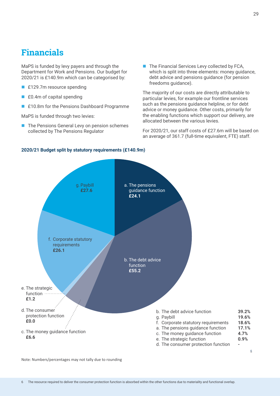# **Financials**

MaPS is funded by levy payers and through the Department for Work and Pensions. Our budget for  $2020/21$  is £140.9m which can be categorised by:

- **FIZE** for The Tesource spending
- $\blacksquare$  £0.4m of capital spending
- **FIGULE 10.8m** for the Pensions Dashboard Programme

MaPS is funded through two levies:

- The Pensions General Levy on pension schemes collected by The Pensions Regulator
- $\blacksquare$  The Financial Services Levy collected by FCA, which is split into three elements: money guidance, debt advice and pensions guidance (for pension freedoms guidance).

The majority of our costs are directly attributable to particular levies, for example our frontline services such as the pensions guidance helpline, or for debt advice or money guidance. Other costs, primarily for the enabling functions which support our delivery, are allocated between the various levies.

For 2020/21, our staff costs of £27.6m will be based on an average of 361.7 (full-time equivalent, FTE) staff.





Note: Numbers/percentages may not tally due to rounding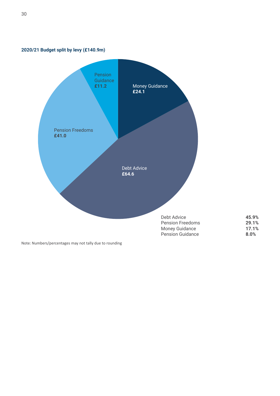

**2020/21 Budget split by levy (£140.9m)**

Note: Numbers/percentages may not tally due to rounding